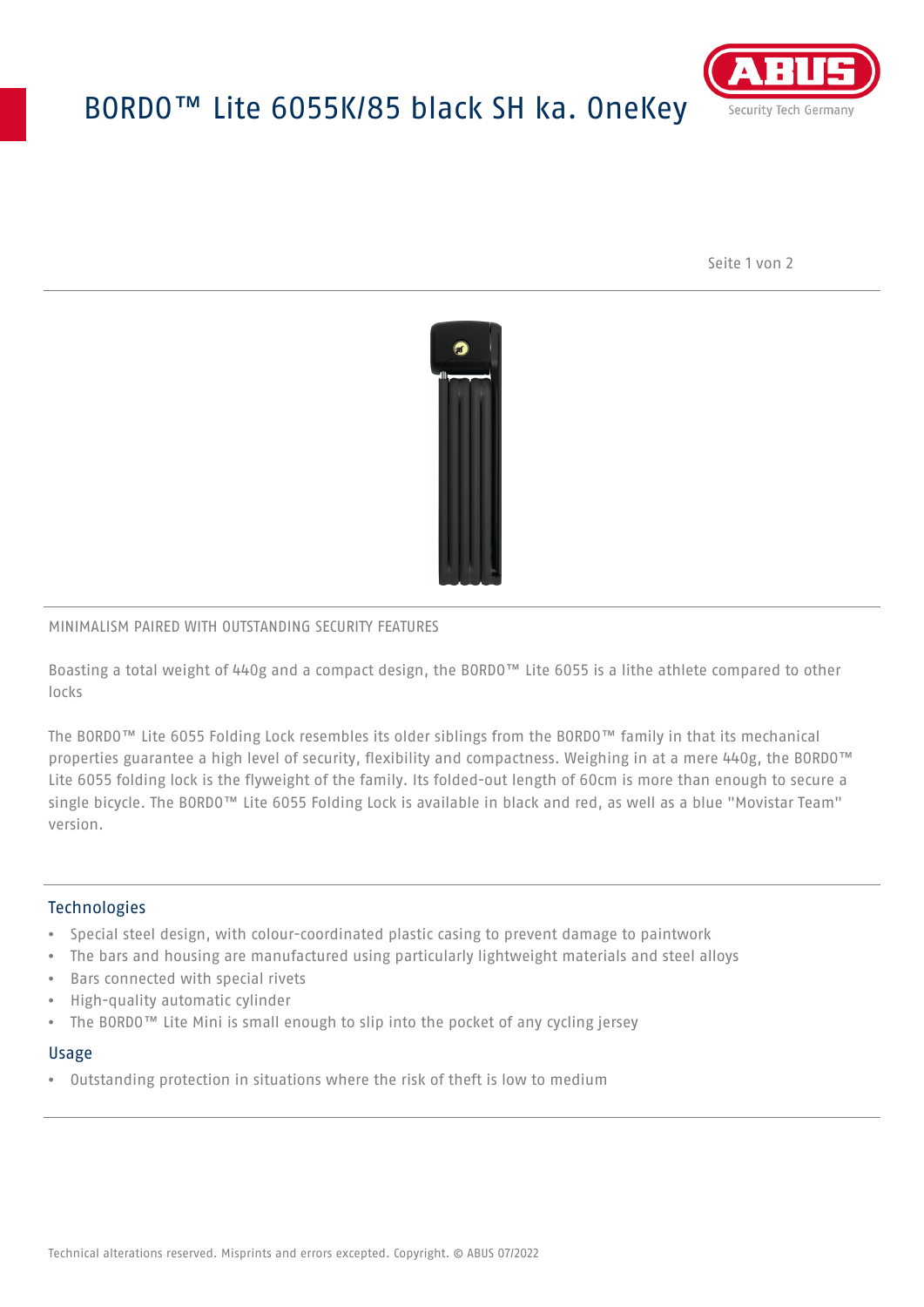# BORDO™ Lite 6055K/85 black SH ka. OneKey



Seite 1 von 2



### MINIMALISM PAIRED WITH OUTSTANDING SECURITY FEATURES

Boasting a total weight of 440g and a compact design, the BORDO™ Lite 6055 is a lithe athlete compared to other locks

The BORDO™ Lite 6055 Folding Lock resembles its older siblings from the BORDO™ family in that its mechanical properties guarantee a high level of security, flexibility and compactness. Weighing in at a mere 440g, the BORDO™ Lite 6055 folding lock is the flyweight of the family. Its folded-out length of 60cm is more than enough to secure a single bicycle. The BORDO™ Lite 6055 Folding Lock is available in black and red, as well as a blue "Movistar Team" version.

## **Technologies**

- Special steel design, with colour-coordinated plastic casing to prevent damage to paintwork
- The bars and housing are manufactured using particularly lightweight materials and steel alloys
- Bars connected with special rivets
- High-quality automatic cylinder
- The BORDO™ Lite Mini is small enough to slip into the pocket of any cycling jersey

#### Usage

• Outstanding protection in situations where the risk of theft is low to medium